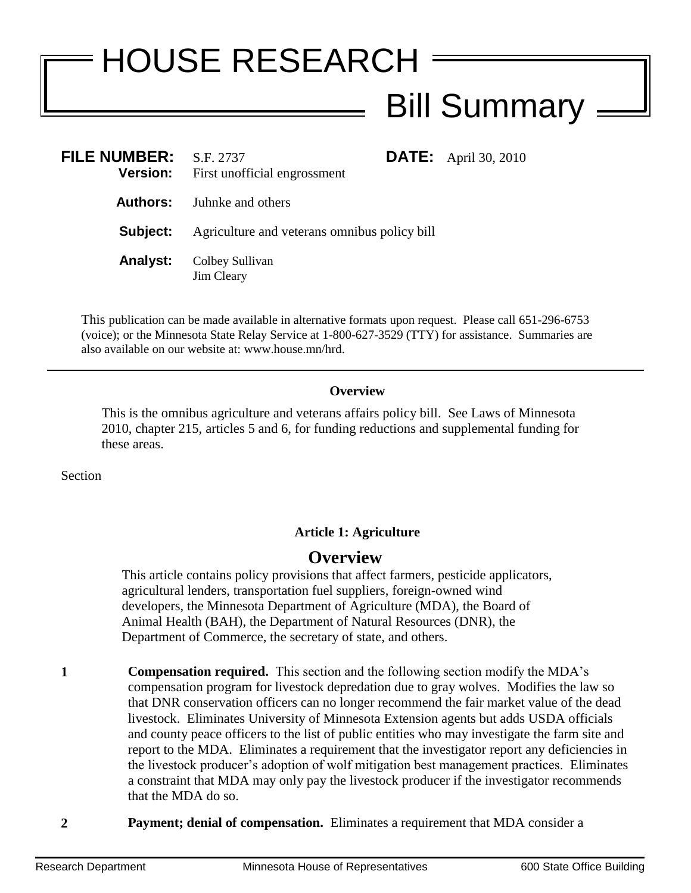# HOUSE RESEARCH Bill Summary

| <b>FILE NUMBER:</b><br><b>Version:</b> | S.F. 2737<br>First unofficial engrossment    | <b>DATE:</b> April 30, 2010 |
|----------------------------------------|----------------------------------------------|-----------------------------|
|                                        | <b>Authors:</b> Juhnke and others            |                             |
| Subject:                               | Agriculture and veterans omnibus policy bill |                             |
| <b>Analyst:</b>                        | Colbey Sullivan<br>Jim Cleary                |                             |

This publication can be made available in alternative formats upon request. Please call 651-296-6753 (voice); or the Minnesota State Relay Service at 1-800-627-3529 (TTY) for assistance. Summaries are also available on our website at: www.house.mn/hrd.

#### **Overview**

This is the omnibus agriculture and veterans affairs policy bill. See Laws of Minnesota 2010, chapter 215, articles 5 and 6, for funding reductions and supplemental funding for these areas.

Section

#### **Article 1: Agriculture**

# **Overview**

This article contains policy provisions that affect farmers, pesticide applicators, agricultural lenders, transportation fuel suppliers, foreign-owned wind developers, the Minnesota Department of Agriculture (MDA), the Board of Animal Health (BAH), the Department of Natural Resources (DNR), the Department of Commerce, the secretary of state, and others.

**1 Compensation required.** This section and the following section modify the MDA's compensation program for livestock depredation due to gray wolves. Modifies the law so that DNR conservation officers can no longer recommend the fair market value of the dead livestock. Eliminates University of Minnesota Extension agents but adds USDA officials and county peace officers to the list of public entities who may investigate the farm site and report to the MDA. Eliminates a requirement that the investigator report any deficiencies in the livestock producer's adoption of wolf mitigation best management practices. Eliminates a constraint that MDA may only pay the livestock producer if the investigator recommends that the MDA do so.

**2 Payment; denial of compensation.** Eliminates a requirement that MDA consider a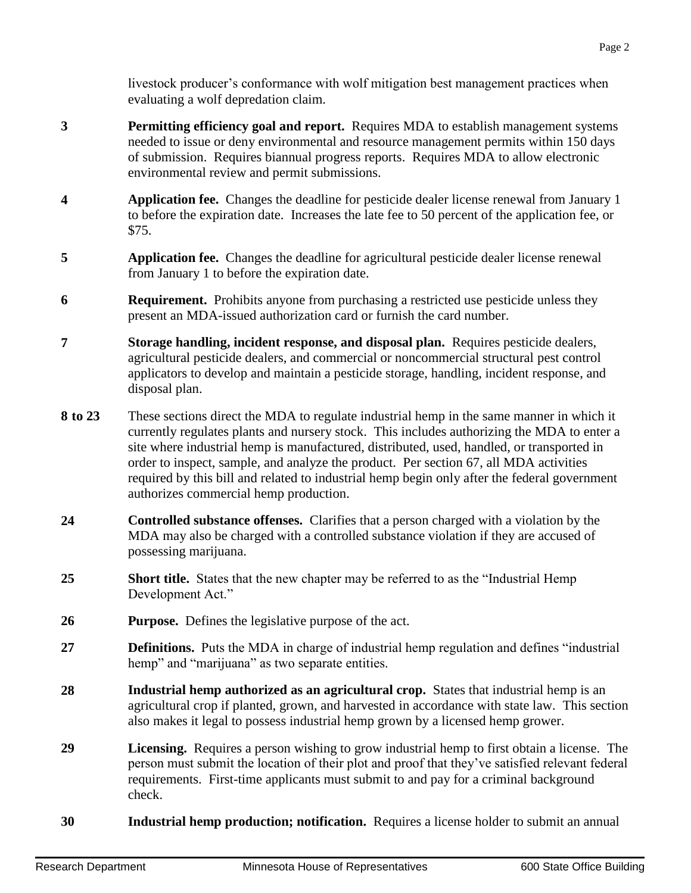livestock producer's conformance with wolf mitigation best management practices when evaluating a wolf depredation claim.

- **3 Permitting efficiency goal and report.** Requires MDA to establish management systems needed to issue or deny environmental and resource management permits within 150 days of submission. Requires biannual progress reports. Requires MDA to allow electronic environmental review and permit submissions.
- **4 Application fee.** Changes the deadline for pesticide dealer license renewal from January 1 to before the expiration date. Increases the late fee to 50 percent of the application fee, or \$75.
- **5 Application fee.** Changes the deadline for agricultural pesticide dealer license renewal from January 1 to before the expiration date.
- **6 Requirement.** Prohibits anyone from purchasing a restricted use pesticide unless they present an MDA-issued authorization card or furnish the card number.
- **7 Storage handling, incident response, and disposal plan.** Requires pesticide dealers, agricultural pesticide dealers, and commercial or noncommercial structural pest control applicators to develop and maintain a pesticide storage, handling, incident response, and disposal plan.
- **8 to 23** These sections direct the MDA to regulate industrial hemp in the same manner in which it currently regulates plants and nursery stock. This includes authorizing the MDA to enter a site where industrial hemp is manufactured, distributed, used, handled, or transported in order to inspect, sample, and analyze the product. Per section 67, all MDA activities required by this bill and related to industrial hemp begin only after the federal government authorizes commercial hemp production.
- **24 Controlled substance offenses.** Clarifies that a person charged with a violation by the MDA may also be charged with a controlled substance violation if they are accused of possessing marijuana.
- **25 Short title.** States that the new chapter may be referred to as the "Industrial Hemp Development Act."
- **26 Purpose.** Defines the legislative purpose of the act.
- **27 Definitions.** Puts the MDA in charge of industrial hemp regulation and defines "industrial hemp" and "marijuana" as two separate entities.
- **28 Industrial hemp authorized as an agricultural crop.** States that industrial hemp is an agricultural crop if planted, grown, and harvested in accordance with state law. This section also makes it legal to possess industrial hemp grown by a licensed hemp grower.
- **29 Licensing.** Requires a person wishing to grow industrial hemp to first obtain a license. The person must submit the location of their plot and proof that they've satisfied relevant federal requirements. First-time applicants must submit to and pay for a criminal background check.
- **30 Industrial hemp production; notification.** Requires a license holder to submit an annual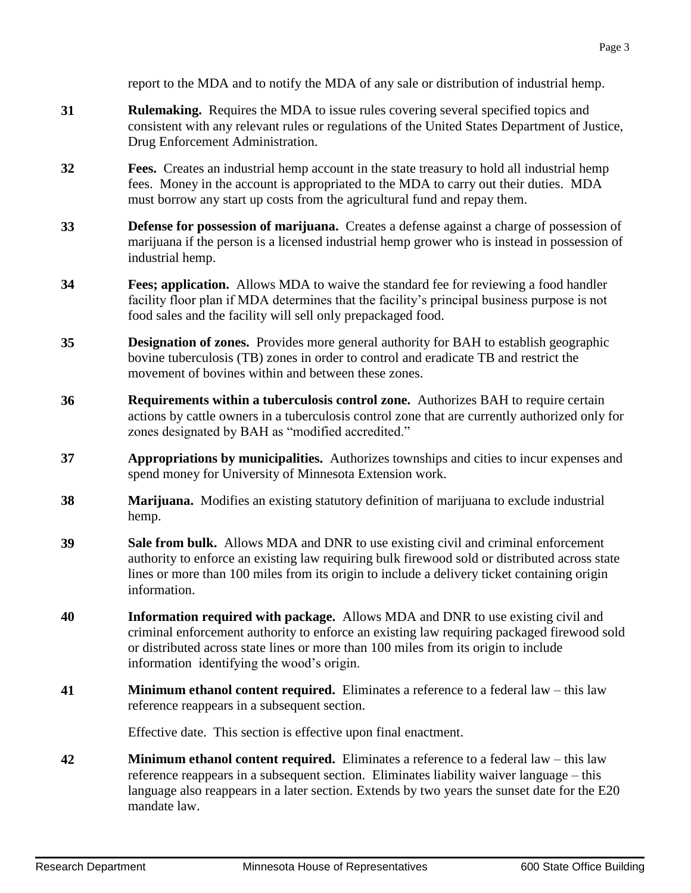report to the MDA and to notify the MDA of any sale or distribution of industrial hemp.

- **31 Rulemaking.** Requires the MDA to issue rules covering several specified topics and consistent with any relevant rules or regulations of the United States Department of Justice, Drug Enforcement Administration.
- **32 Fees.** Creates an industrial hemp account in the state treasury to hold all industrial hemp fees. Money in the account is appropriated to the MDA to carry out their duties. MDA must borrow any start up costs from the agricultural fund and repay them.
- **33 Defense for possession of marijuana.** Creates a defense against a charge of possession of marijuana if the person is a licensed industrial hemp grower who is instead in possession of industrial hemp.
- **34 Fees; application.** Allows MDA to waive the standard fee for reviewing a food handler facility floor plan if MDA determines that the facility's principal business purpose is not food sales and the facility will sell only prepackaged food.
- **35 Designation of zones.** Provides more general authority for BAH to establish geographic bovine tuberculosis (TB) zones in order to control and eradicate TB and restrict the movement of bovines within and between these zones.
- **36 Requirements within a tuberculosis control zone.** Authorizes BAH to require certain actions by cattle owners in a tuberculosis control zone that are currently authorized only for zones designated by BAH as "modified accredited."
- **37 Appropriations by municipalities.** Authorizes townships and cities to incur expenses and spend money for University of Minnesota Extension work.
- **38 Marijuana.** Modifies an existing statutory definition of marijuana to exclude industrial hemp.
- **39 Sale from bulk.** Allows MDA and DNR to use existing civil and criminal enforcement authority to enforce an existing law requiring bulk firewood sold or distributed across state lines or more than 100 miles from its origin to include a delivery ticket containing origin information.
- **40 Information required with package.** Allows MDA and DNR to use existing civil and criminal enforcement authority to enforce an existing law requiring packaged firewood sold or distributed across state lines or more than 100 miles from its origin to include information identifying the wood's origin.
- **41 Minimum ethanol content required.** Eliminates a reference to a federal law this law reference reappears in a subsequent section.

Effective date. This section is effective upon final enactment.

**42 Minimum ethanol content required.** Eliminates a reference to a federal law – this law reference reappears in a subsequent section. Eliminates liability waiver language – this language also reappears in a later section. Extends by two years the sunset date for the E20 mandate law.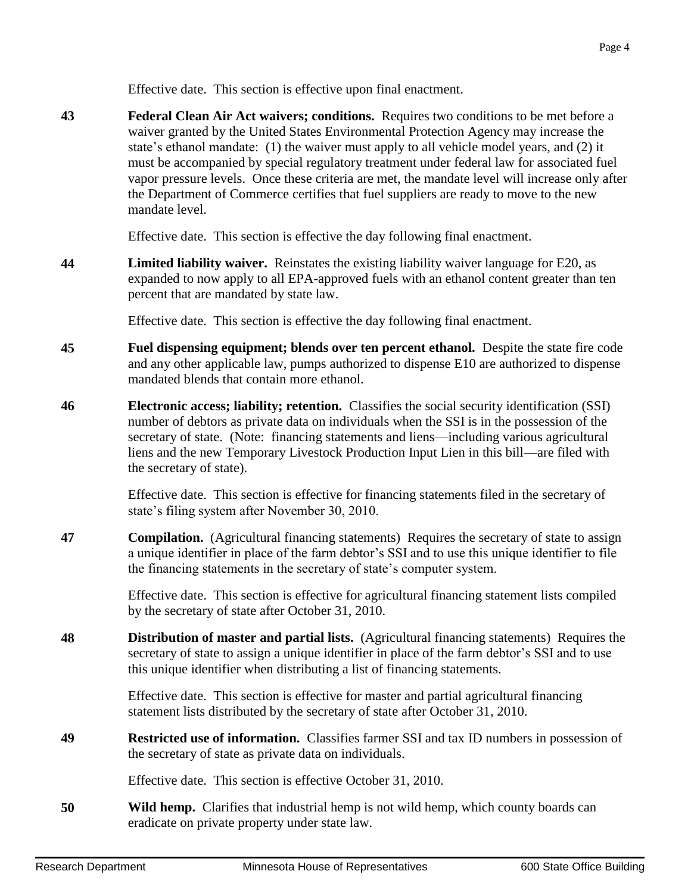Effective date. This section is effective upon final enactment.

**43 Federal Clean Air Act waivers; conditions.** Requires two conditions to be met before a waiver granted by the United States Environmental Protection Agency may increase the state's ethanol mandate: (1) the waiver must apply to all vehicle model years, and (2) it must be accompanied by special regulatory treatment under federal law for associated fuel vapor pressure levels. Once these criteria are met, the mandate level will increase only after the Department of Commerce certifies that fuel suppliers are ready to move to the new mandate level.

Effective date. This section is effective the day following final enactment.

**44 Limited liability waiver.** Reinstates the existing liability waiver language for E20, as expanded to now apply to all EPA-approved fuels with an ethanol content greater than ten percent that are mandated by state law.

Effective date. This section is effective the day following final enactment.

- **45 Fuel dispensing equipment; blends over ten percent ethanol.** Despite the state fire code and any other applicable law, pumps authorized to dispense E10 are authorized to dispense mandated blends that contain more ethanol.
- **46 Electronic access; liability; retention.** Classifies the social security identification (SSI) number of debtors as private data on individuals when the SSI is in the possession of the secretary of state. (Note: financing statements and liens—including various agricultural liens and the new Temporary Livestock Production Input Lien in this bill—are filed with the secretary of state).

Effective date. This section is effective for financing statements filed in the secretary of state's filing system after November 30, 2010.

**47 Compilation.** (Agricultural financing statements) Requires the secretary of state to assign a unique identifier in place of the farm debtor's SSI and to use this unique identifier to file the financing statements in the secretary of state's computer system.

> Effective date. This section is effective for agricultural financing statement lists compiled by the secretary of state after October 31, 2010.

**48 Distribution of master and partial lists.** (Agricultural financing statements) Requires the secretary of state to assign a unique identifier in place of the farm debtor's SSI and to use this unique identifier when distributing a list of financing statements.

> Effective date. This section is effective for master and partial agricultural financing statement lists distributed by the secretary of state after October 31, 2010.

**49 Restricted use of information.** Classifies farmer SSI and tax ID numbers in possession of the secretary of state as private data on individuals.

Effective date. This section is effective October 31, 2010.

**50 Wild hemp.** Clarifies that industrial hemp is not wild hemp, which county boards can eradicate on private property under state law.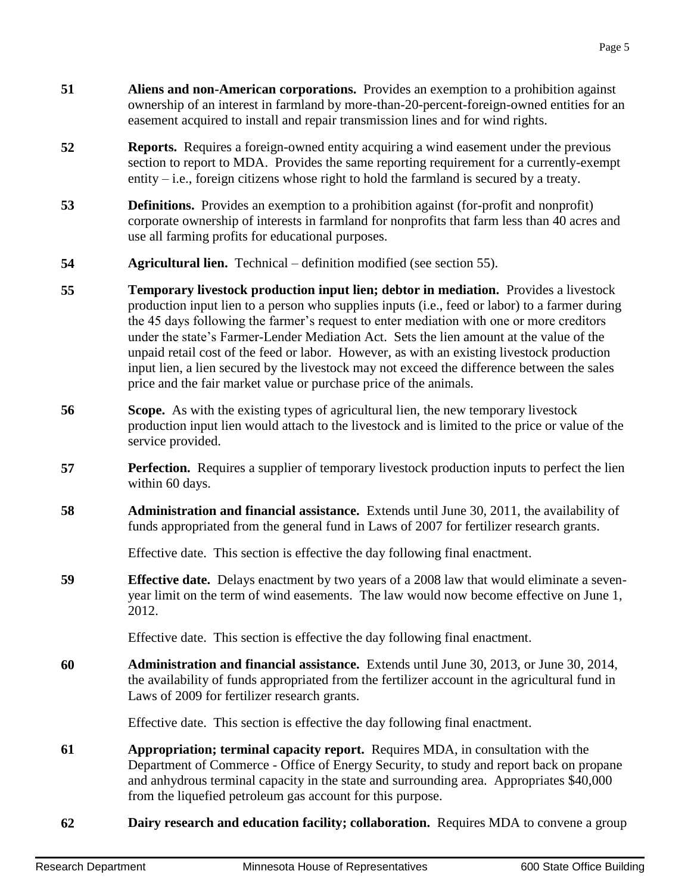- **51 Aliens and non-American corporations.** Provides an exemption to a prohibition against ownership of an interest in farmland by more-than-20-percent-foreign-owned entities for an easement acquired to install and repair transmission lines and for wind rights.
- **52 Reports.** Requires a foreign-owned entity acquiring a wind easement under the previous section to report to MDA. Provides the same reporting requirement for a currently-exempt entity  $-i.e.,$  foreign citizens whose right to hold the farmland is secured by a treaty.
- **53 Definitions.** Provides an exemption to a prohibition against (for-profit and nonprofit) corporate ownership of interests in farmland for nonprofits that farm less than 40 acres and use all farming profits for educational purposes.
- **54 Agricultural lien.** Technical definition modified (see section 55).
- **55 15 Temporary livestock production input lien; debtor in mediation. Provides a livestock** production input lien to a person who supplies inputs (i.e., feed or labor) to a farmer during the 45 days following the farmer's request to enter mediation with one or more creditors under the state's Farmer-Lender Mediation Act. Sets the lien amount at the value of the unpaid retail cost of the feed or labor. However, as with an existing livestock production input lien, a lien secured by the livestock may not exceed the difference between the sales price and the fair market value or purchase price of the animals.
- **56 Scope.** As with the existing types of agricultural lien, the new temporary livestock production input lien would attach to the livestock and is limited to the price or value of the service provided.
- **57 Perfection.** Requires a supplier of temporary livestock production inputs to perfect the lien within 60 days.
- **58 Administration and financial assistance.** Extends until June 30, 2011, the availability of funds appropriated from the general fund in Laws of 2007 for fertilizer research grants.

Effective date. This section is effective the day following final enactment.

**59 Effective date.** Delays enactment by two years of a 2008 law that would eliminate a sevenyear limit on the term of wind easements. The law would now become effective on June 1, 2012.

Effective date. This section is effective the day following final enactment.

**60 Administration and financial assistance.** Extends until June 30, 2013, or June 30, 2014, the availability of funds appropriated from the fertilizer account in the agricultural fund in Laws of 2009 for fertilizer research grants.

Effective date. This section is effective the day following final enactment.

- **61 Appropriation; terminal capacity report.** Requires MDA, in consultation with the Department of Commerce - Office of Energy Security, to study and report back on propane and anhydrous terminal capacity in the state and surrounding area. Appropriates \$40,000 from the liquefied petroleum gas account for this purpose.
- **62 Dairy research and education facility; collaboration.** Requires MDA to convene a group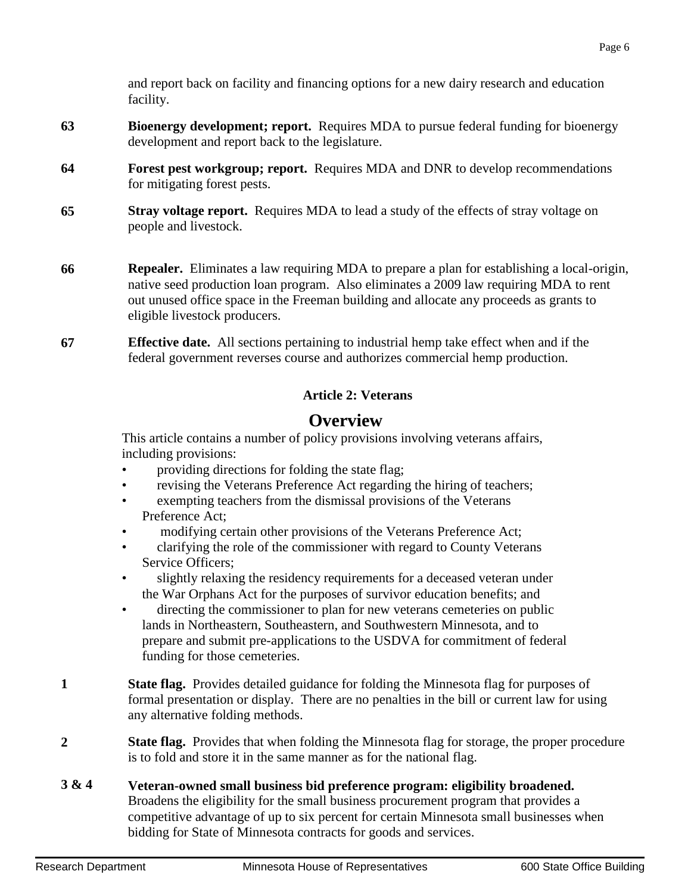and report back on facility and financing options for a new dairy research and education facility.

- **63 Bioenergy development; report.** Requires MDA to pursue federal funding for bioenergy development and report back to the legislature.
- **64 Forest pest workgroup; report.** Requires MDA and DNR to develop recommendations for mitigating forest pests.
- **65 Stray voltage report.** Requires MDA to lead a study of the effects of stray voltage on people and livestock.
- **66 Repealer.** Eliminates a law requiring MDA to prepare a plan for establishing a local-origin, native seed production loan program. Also eliminates a 2009 law requiring MDA to rent out unused office space in the Freeman building and allocate any proceeds as grants to eligible livestock producers.
- **67 Effective date.** All sections pertaining to industrial hemp take effect when and if the federal government reverses course and authorizes commercial hemp production.

### **Article 2: Veterans**

# **Overview**

This article contains a number of policy provisions involving veterans affairs, including provisions:

- providing directions for folding the state flag;
- revising the Veterans Preference Act regarding the hiring of teachers;
- exempting teachers from the dismissal provisions of the Veterans Preference Act;
- modifying certain other provisions of the Veterans Preference Act;
- clarifying the role of the commissioner with regard to County Veterans Service Officers;
- slightly relaxing the residency requirements for a deceased veteran under the War Orphans Act for the purposes of survivor education benefits; and
- directing the commissioner to plan for new veterans cemeteries on public lands in Northeastern, Southeastern, and Southwestern Minnesota, and to prepare and submit pre-applications to the USDVA for commitment of federal funding for those cemeteries.
- **1 State flag.** Provides detailed guidance for folding the Minnesota flag for purposes of formal presentation or display. There are no penalties in the bill or current law for using any alternative folding methods.
- **2 State flag.** Provides that when folding the Minnesota flag for storage, the proper procedure is to fold and store it in the same manner as for the national flag.
- **3 & 4 Veteran-owned small business bid preference program: eligibility broadened.** Broadens the eligibility for the small business procurement program that provides a competitive advantage of up to six percent for certain Minnesota small businesses when bidding for State of Minnesota contracts for goods and services.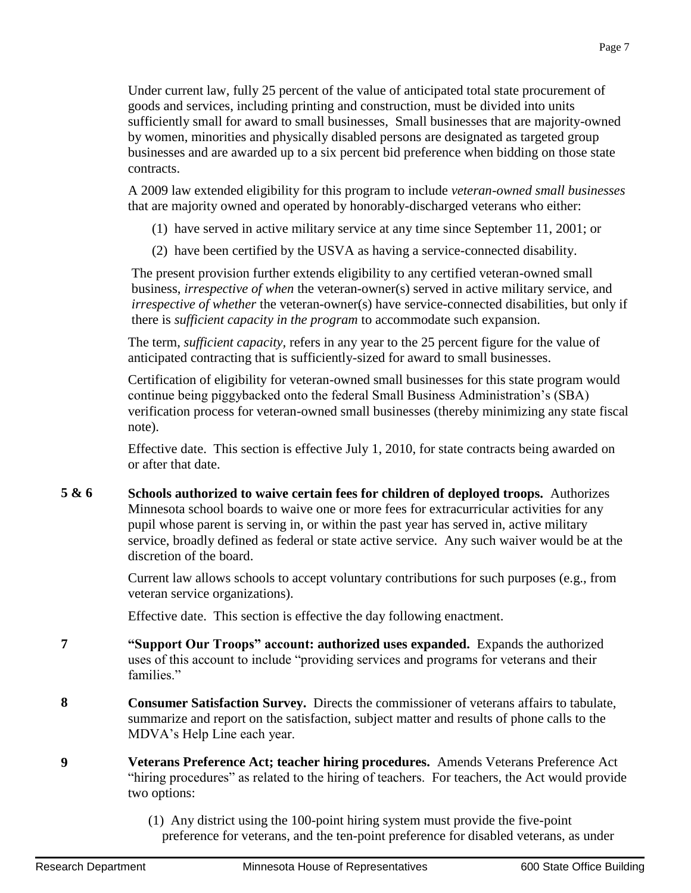Under current law, fully 25 percent of the value of anticipated total state procurement of goods and services, including printing and construction, must be divided into units sufficiently small for award to small businesses, Small businesses that are majority-owned by women, minorities and physically disabled persons are designated as targeted group businesses and are awarded up to a six percent bid preference when bidding on those state contracts.

A 2009 law extended eligibility for this program to include *veteran-owned small businesses* that are majority owned and operated by honorably-discharged veterans who either:

- (1) have served in active military service at any time since September 11, 2001; or
- (2) have been certified by the USVA as having a service-connected disability.

The present provision further extends eligibility to any certified veteran-owned small business, *irrespective of when* the veteran-owner(s) served in active military service, and *irrespective of whether* the veteran-owner(s) have service-connected disabilities, but only if there is *sufficient capacity in the program* to accommodate such expansion.

The term, *sufficient capacity,* refers in any year to the 25 percent figure for the value of anticipated contracting that is sufficiently-sized for award to small businesses.

Certification of eligibility for veteran-owned small businesses for this state program would continue being piggybacked onto the federal Small Business Administration's (SBA) verification process for veteran-owned small businesses (thereby minimizing any state fiscal note).

Effective date. This section is effective July 1, 2010, for state contracts being awarded on or after that date.

**5 & 6 Schools authorized to waive certain fees for children of deployed troops.** Authorizes Minnesota school boards to waive one or more fees for extracurricular activities for any pupil whose parent is serving in, or within the past year has served in, active military service, broadly defined as federal or state active service. Any such waiver would be at the discretion of the board.

> Current law allows schools to accept voluntary contributions for such purposes (e.g., from veteran service organizations).

Effective date. This section is effective the day following enactment.

- **7 "Support Our Troops" account: authorized uses expanded.** Expands the authorized uses of this account to include "providing services and programs for veterans and their families."
- **8 Consumer Satisfaction Survey.** Directs the commissioner of veterans affairs to tabulate, summarize and report on the satisfaction, subject matter and results of phone calls to the MDVA's Help Line each year.
- **9 Veterans Preference Act; teacher hiring procedures.** Amends Veterans Preference Act "hiring procedures" as related to the hiring of teachers. For teachers, the Act would provide two options:
	- (1) Any district using the 100-point hiring system must provide the five-point preference for veterans, and the ten-point preference for disabled veterans, as under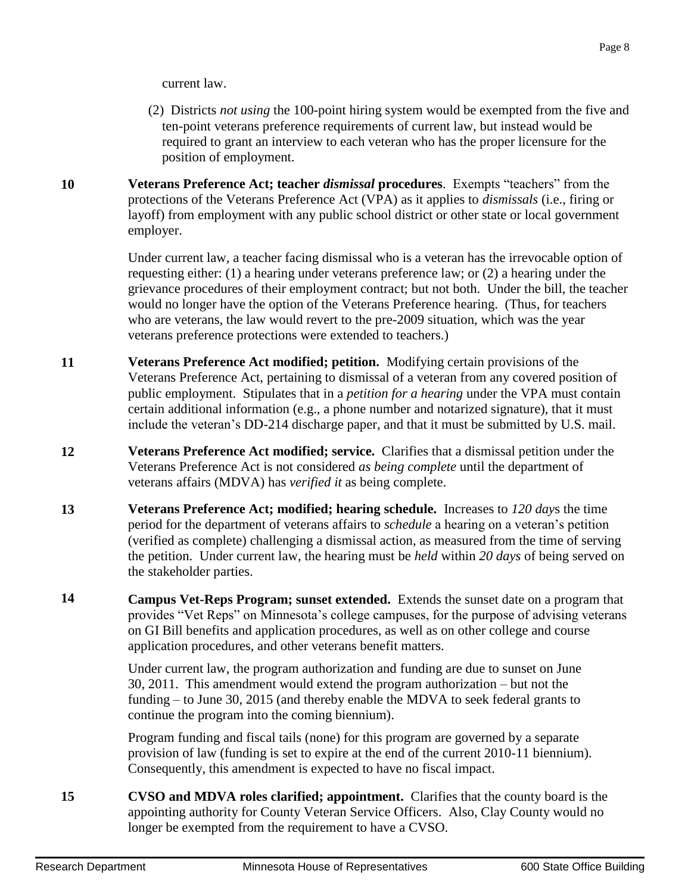current law.

- (2) Districts *not using* the 100-point hiring system would be exempted from the five and ten-point veterans preference requirements of current law, but instead would be required to grant an interview to each veteran who has the proper licensure for the position of employment.
- **10 Veterans Preference Act; teacher** *dismissal* **procedures**. Exempts "teachers" from the protections of the Veterans Preference Act (VPA) as it applies to *dismissals* (i.e., firing or layoff) from employment with any public school district or other state or local government employer.

Under current law, a teacher facing dismissal who is a veteran has the irrevocable option of requesting either: (1) a hearing under veterans preference law; or (2) a hearing under the grievance procedures of their employment contract; but not both. Under the bill, the teacher would no longer have the option of the Veterans Preference hearing. (Thus, for teachers who are veterans, the law would revert to the pre-2009 situation, which was the year veterans preference protections were extended to teachers.)

- **11 Veterans Preference Act modified; petition.** Modifying certain provisions of the Veterans Preference Act, pertaining to dismissal of a veteran from any covered position of public employment. Stipulates that in a *petition for a hearing* under the VPA must contain certain additional information (e.g., a phone number and notarized signature), that it must include the veteran's DD-214 discharge paper, and that it must be submitted by U.S. mail.
- **12 Veterans Preference Act modified; service.** Clarifies that a dismissal petition under the Veterans Preference Act is not considered *as being complete* until the department of veterans affairs (MDVA) has *verified it* as being complete.
- **13 Veterans Preference Act; modified; hearing schedule.** Increases to *120 day*s the time period for the department of veterans affairs to *schedule* a hearing on a veteran's petition (verified as complete) challenging a dismissal action, as measured from the time of serving the petition. Under current law, the hearing must be *held* within *20 days* of being served on the stakeholder parties.
- **14 Campus Vet-Reps Program; sunset extended.** Extends the sunset date on a program that provides "Vet Reps" on Minnesota's college campuses, for the purpose of advising veterans on GI Bill benefits and application procedures, as well as on other college and course application procedures, and other veterans benefit matters.

Under current law, the program authorization and funding are due to sunset on June 30, 2011. This amendment would extend the program authorization – but not the funding – to June 30, 2015 (and thereby enable the MDVA to seek federal grants to continue the program into the coming biennium).

Program funding and fiscal tails (none) for this program are governed by a separate provision of law (funding is set to expire at the end of the current 2010-11 biennium). Consequently, this amendment is expected to have no fiscal impact.

**15 CVSO and MDVA roles clarified; appointment.** Clarifies that the county board is the appointing authority for County Veteran Service Officers. Also, Clay County would no longer be exempted from the requirement to have a CVSO.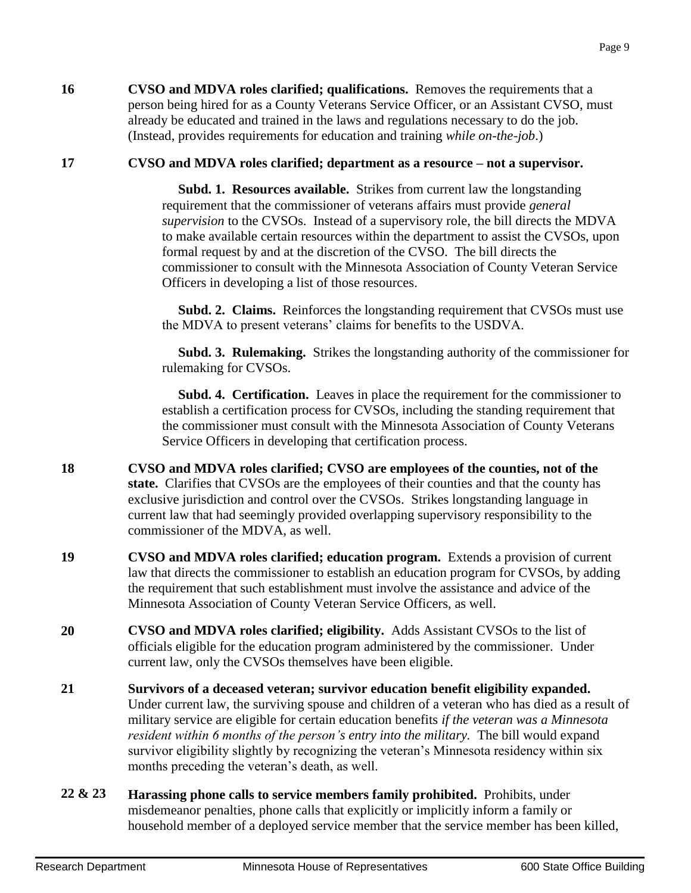**16 CVSO and MDVA roles clarified; qualifications.** Removes the requirements that a person being hired for as a County Veterans Service Officer, or an Assistant CVSO, must already be educated and trained in the laws and regulations necessary to do the job. (Instead, provides requirements for education and training *while on-the-job*.)

## **17 CVSO and MDVA roles clarified; department as a resource – not a supervisor.**

 **Subd. 1. Resources available.** Strikes from current law the longstanding requirement that the commissioner of veterans affairs must provide *general supervision* to the CVSOs. Instead of a supervisory role, the bill directs the MDVA to make available certain resources within the department to assist the CVSOs, upon formal request by and at the discretion of the CVSO. The bill directs the commissioner to consult with the Minnesota Association of County Veteran Service Officers in developing a list of those resources.

 **Subd. 2. Claims.** Reinforces the longstanding requirement that CVSOs must use the MDVA to present veterans' claims for benefits to the USDVA.

 **Subd. 3. Rulemaking.** Strikes the longstanding authority of the commissioner for rulemaking for CVSOs.

 **Subd. 4. Certification.** Leaves in place the requirement for the commissioner to establish a certification process for CVSOs, including the standing requirement that the commissioner must consult with the Minnesota Association of County Veterans Service Officers in developing that certification process.

- **18 CVSO and MDVA roles clarified; CVSO are employees of the counties, not of the state.** Clarifies that CVSOs are the employees of their counties and that the county has exclusive jurisdiction and control over the CVSOs. Strikes longstanding language in current law that had seemingly provided overlapping supervisory responsibility to the commissioner of the MDVA, as well.
- **19 CVSO and MDVA roles clarified; education program.** Extends a provision of current law that directs the commissioner to establish an education program for CVSOs, by adding the requirement that such establishment must involve the assistance and advice of the Minnesota Association of County Veteran Service Officers, as well.
- **20 CVSO and MDVA roles clarified; eligibility.** Adds Assistant CVSOs to the list of officials eligible for the education program administered by the commissioner. Under current law, only the CVSOs themselves have been eligible.
- **21 Survivors of a deceased veteran; survivor education benefit eligibility expanded.** Under current law, the surviving spouse and children of a veteran who has died as a result of military service are eligible for certain education benefits *if the veteran was a Minnesota resident within 6 months of the person's entry into the military.* The bill would expand survivor eligibility slightly by recognizing the veteran's Minnesota residency within six months preceding the veteran's death, as well.
- **22 & 23 Harassing phone calls to service members family prohibited.** Prohibits, under misdemeanor penalties, phone calls that explicitly or implicitly inform a family or household member of a deployed service member that the service member has been killed,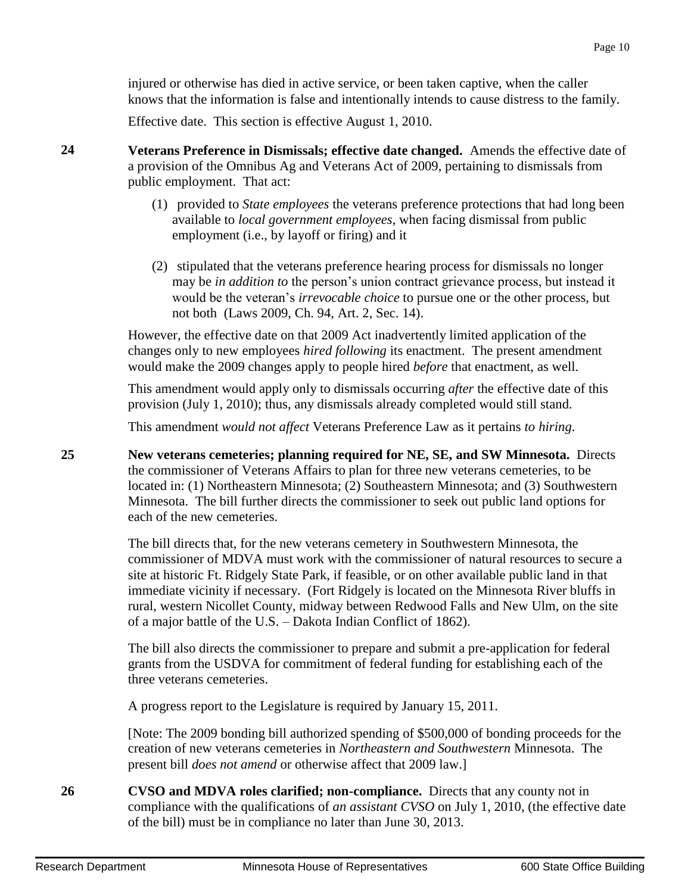injured or otherwise has died in active service, or been taken captive, when the caller knows that the information is false and intentionally intends to cause distress to the family.

Effective date. This section is effective August 1, 2010.

- **24 Veterans Preference in Dismissals; effective date changed.** Amends the effective date of a provision of the Omnibus Ag and Veterans Act of 2009, pertaining to dismissals from public employment. That act:
	- (1) provided to *State employees* the veterans preference protections that had long been available to *local government employees*, when facing dismissal from public employment (i.e., by layoff or firing) and it
	- (2) stipulated that the veterans preference hearing process for dismissals no longer may be *in addition to* the person's union contract grievance process, but instead it would be the veteran's *irrevocable choice* to pursue one or the other process, but not both (Laws 2009, Ch. 94, Art. 2, Sec. 14).

However, the effective date on that 2009 Act inadvertently limited application of the changes only to new employees *hired following* its enactment. The present amendment would make the 2009 changes apply to people hired *before* that enactment, as well.

This amendment would apply only to dismissals occurring *after* the effective date of this provision (July 1, 2010); thus, any dismissals already completed would still stand.

This amendment *would not affect* Veterans Preference Law as it pertains *to hiring*.

**25 New veterans cemeteries; planning required for NE, SE, and SW Minnesota.** Directs the commissioner of Veterans Affairs to plan for three new veterans cemeteries, to be located in: (1) Northeastern Minnesota; (2) Southeastern Minnesota; and (3) Southwestern Minnesota. The bill further directs the commissioner to seek out public land options for each of the new cemeteries.

> The bill directs that, for the new veterans cemetery in Southwestern Minnesota, the commissioner of MDVA must work with the commissioner of natural resources to secure a site at historic Ft. Ridgely State Park, if feasible, or on other available public land in that immediate vicinity if necessary. (Fort Ridgely is located on the Minnesota River bluffs in rural, western Nicollet County, midway between Redwood Falls and New Ulm, on the site of a major battle of the U.S. – Dakota Indian Conflict of 1862).

The bill also directs the commissioner to prepare and submit a pre-application for federal grants from the USDVA for commitment of federal funding for establishing each of the three veterans cemeteries.

A progress report to the Legislature is required by January 15, 2011.

[Note: The 2009 bonding bill authorized spending of \$500,000 of bonding proceeds for the creation of new veterans cemeteries in *Northeastern and Southwestern* Minnesota. The present bill *does not amend* or otherwise affect that 2009 law.]

**26 CVSO and MDVA roles clarified; non-compliance.** Directs that any county not in compliance with the qualifications of *an assistant CVSO* on July 1, 2010, (the effective date of the bill) must be in compliance no later than June 30, 2013.